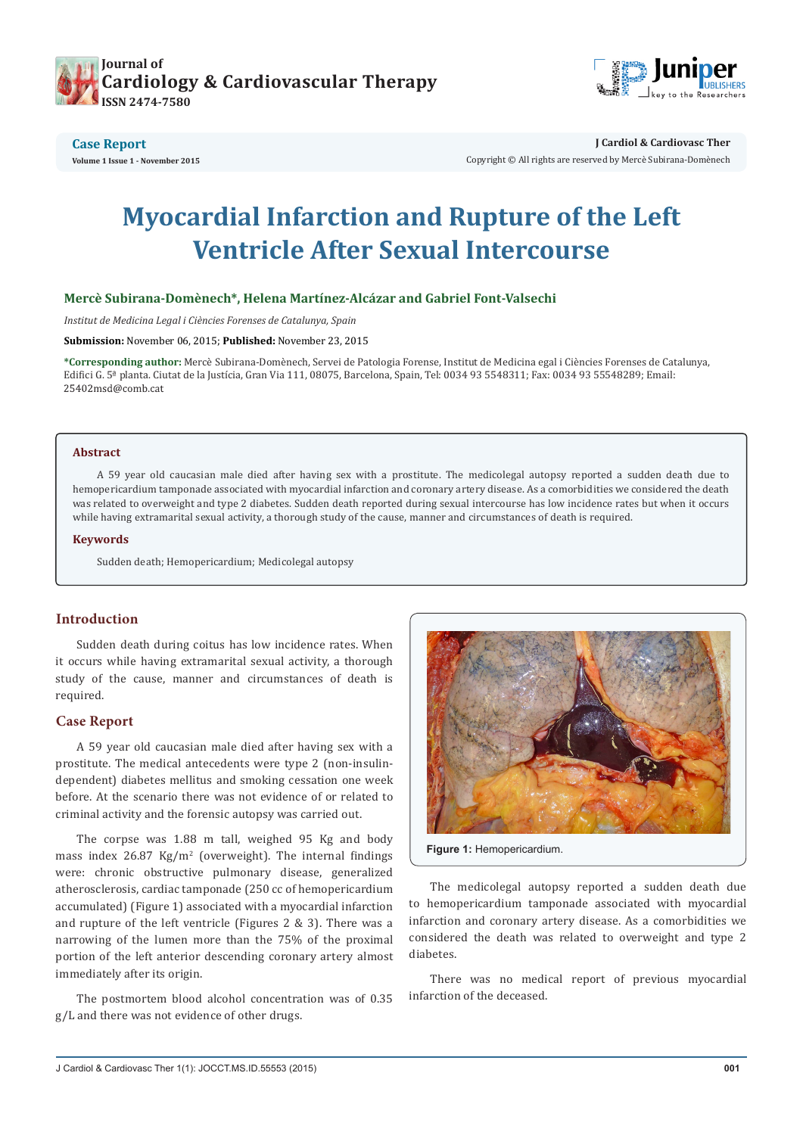



**J Cardiol & Cardiovasc Ther**

Copyright © All rights are reserved by Mercè Subirana-Domènech

# **Myocardial Infarction and Rupture of the Left Ventricle After Sexual Intercourse**

#### **Mercè Subirana-Domènech\*, Helena Martínez-Alcázar and Gabriel Font-Valsechi**

*Institut de Medicina Legal i Ciències Forenses de Catalunya, Spain*

**Submission:** November 06, 2015; **Published:** November 23, 2015

**\*Corresponding author:** Mercè Subirana-Domènech, Servei de Patologia Forense, Institut de Medicina egal i Ciències Forenses de Catalunya, Edifici G. 5ª planta. Ciutat de la Justícia, Gran Via 111, 08075, Barcelona, Spain, Tel: 0034 93 5548311; Fax: 0034 93 55548289; Email: 25402msd@comb.cat

#### **Abstract**

A 59 year old caucasian male died after having sex with a prostitute. The medicolegal autopsy reported a sudden death due to hemopericardium tamponade associated with myocardial infarction and coronary artery disease. As a comorbidities we considered the death was related to overweight and type 2 diabetes. Sudden death reported during sexual intercourse has low incidence rates but when it occurs while having extramarital sexual activity, a thorough study of the cause, manner and circumstances of death is required.

#### **Keywords**

Sudden death; Hemopericardium; Medicolegal autopsy

## **Introduction**

Sudden death during coitus has low incidence rates. When it occurs while having extramarital sexual activity, a thorough study of the cause, manner and circumstances of death is required.

## **Case Report**

A 59 year old caucasian male died after having sex with a prostitute. The medical antecedents were type 2 (non-insulindependent) diabetes mellitus and smoking cessation one week before. At the scenario there was not evidence of or related to criminal activity and the forensic autopsy was carried out.

The corpse was 1.88 m tall, weighed 95 Kg and body mass index 26.87 Kg/m<sup>2</sup> (overweight). The internal findings were: chronic obstructive pulmonary disease, generalized atherosclerosis, cardiac tamponade (250 cc of hemopericardium accumulated) (Figure 1) associated with a myocardial infarction and rupture of the left ventricle (Figures 2 & 3). There was a narrowing of the lumen more than the 75% of the proximal portion of the left anterior descending coronary artery almost immediately after its origin.

The postmortem blood alcohol concentration was of 0.35 g/L and there was not evidence of other drugs.



**Figure 1:** Hemopericardium.

The medicolegal autopsy reported a sudden death due to hemopericardium tamponade associated with myocardial infarction and coronary artery disease. As a comorbidities we considered the death was related to overweight and type 2 diabetes.

There was no medical report of previous myocardial infarction of the deceased.